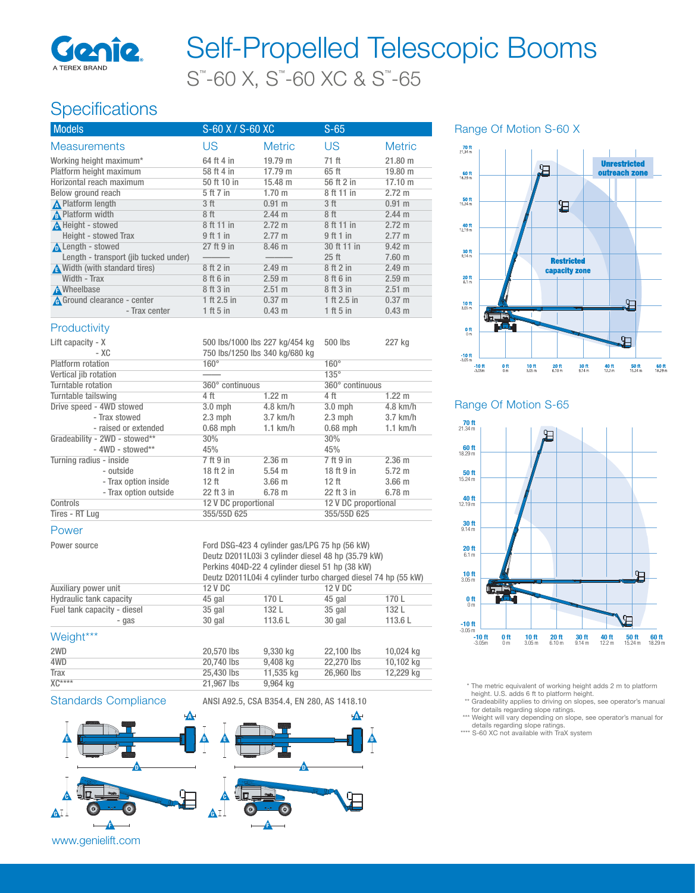

# S™ -60 X, S™ -60 XC & S™ -65 Self-Propelled Telescopic Booms

### Specifications

| <b>Models</b>                         | $S-60$ X / $S-60$ XC           |                   | $S-65$            |                   |
|---------------------------------------|--------------------------------|-------------------|-------------------|-------------------|
| <b>Measurements</b>                   | US                             | <b>Metric</b>     | US                | <b>Metric</b>     |
| Working height maximum*               | 64 ft 4 in                     | 19.79 m           | 71 ft             | 21.80 m           |
| Platform height maximum               | 58 ft 4 in                     | 17.79 m           | 65 ft             | 19.80 m           |
| Horizontal reach maximum              | 50 ft 10 in                    | 15.48 m           | 56 ft 2 in        | $17.10 \text{ m}$ |
| Below ground reach                    | 5 ft 7 in                      | 1.70 <sub>m</sub> | 8 ft 11 in        | $2.72 \text{ m}$  |
| <b>A</b> Platform length              | 3 <sub>ft</sub>                | 0.91 m            | 3 <sub>ft</sub>   | 0.91 m            |
| <b>A</b> Platform width               | 8 <sup>ft</sup>                | 2.44 m            | 8 <sup>ft</sup>   | 2.44 m            |
| A Height - stowed                     | 8 ft 11 in                     | $2.72 \text{ m}$  | 8 ft 11 in        | $2.72 \text{ m}$  |
| Height - stowed Trax                  | $9$ ft 1 in                    | $2.77 \text{ m}$  | 9 ft 1 in         | $2.77 \text{ m}$  |
| <b>A</b> Length - stowed              | 27 ft 9 in                     | 8.46 <sub>m</sub> | 30 ft 11 in       | $9.42 \text{ m}$  |
| Length - transport (jib tucked under) |                                |                   | $25$ ft           | $7.60$ m          |
| Width (with standard tires)           | 8 ft 2 in                      | 2.49 m            | 8 ft 2 in         | 2.49 m            |
| Width - Trax                          | 8 ft 6 in                      | 2.59 m            | 8 ft 6 in         | 2.59 <sub>m</sub> |
| <b>A</b> Wheelbase                    | 8 ft 3 in                      | $2.51 \text{ m}$  | 8 ft 3 in         | 2.51 m            |
| A Ground clearance - center           | 1 ft 2.5 in                    | $0.37 \; m$       | 1 ft 2.5 in       | $0.37 \; m$       |
| - Trax center                         | 1 ft 5 in                      | 0.43 m            | 1 ft 5 in         | $0.43 \text{ m}$  |
| Productivity                          |                                |                   |                   |                   |
| Lift capacity - X                     | 500 lbs/1000 lbs 227 kg/454 kg |                   | 500 lbs           | 227 kg            |
| - XC                                  | 750 lbs/1250 lbs 340 kg/680 kg |                   |                   |                   |
| <b>Platform</b> rotation              | $160^\circ$                    |                   | $160^\circ$       |                   |
| Vertical jib rotation                 |                                |                   | $135^\circ$       |                   |
| Turntable retation                    | $0000$ continuous              |                   | $0000$ continuous |                   |

Range Of Motion S-60 X



#### Range Of Motion S-65



\* The metric equivalent of working height adds 2 m to platform height. U.S. adds 6 ft to platform height.

\*\* Gradeability applies to driving on slopes, see operator's manual

for details regarding slope ratings. \*\*\*Weight will vary depending on slope, see operator's manual for

details regarding slope ratings. \*\*\*\* S-60 XC not available with TraX system

| Lift capacity - X        |                               | 500 lbs/1000 lbs 227 kg/454 kg |                   | 500 lbs              | 227 kg           |
|--------------------------|-------------------------------|--------------------------------|-------------------|----------------------|------------------|
|                          | - XC                          | 750 lbs/1250 lbs 340 kg/680 kg |                   |                      |                  |
| Platform rotation        |                               | $160^\circ$                    |                   | $160^\circ$          |                  |
| Vertical jib rotation    |                               |                                |                   | $135^\circ$          |                  |
| Turntable rotation       |                               | 360° continuous                |                   | 360° continuous      |                  |
| Turntable tailswing      |                               | 4 ft                           | $1.22 \text{ m}$  | 4 ft                 | $1.22 \text{ m}$ |
| Drive speed - 4WD stowed |                               | $3.0$ mph                      | $4.8$ km/h        | $3.0$ mph            | $4.8$ km/h       |
|                          | - Trax stowed                 | $2.3$ mph                      | $3.7$ km/h        | $2.3$ mph            | $3.7$ km/h       |
|                          | - raised or extended          | $0.68$ mph                     | $1.1$ km/h        | $0.68$ mph           | $1.1$ km/h       |
|                          | Gradeability - 2WD - stowed** | 30%                            |                   | 30%                  |                  |
|                          | $-$ 4WD - stowed**            | 45%                            |                   | 45%                  |                  |
| Turning radius - inside  |                               | 7 ft 9 in                      | 2.36 <sub>m</sub> | 7 ft 9 in            | $2.36$ m         |
|                          | - outside                     | 18 ft 2 in                     | $5.54 \; m$       | 18 ft 9 in           | $5.72 \text{ m}$ |
|                          | - Trax option inside          | 12 ft                          | 3.66 <sub>m</sub> | 12 ft                | $3.66$ m         |
|                          | - Trax option outside         | 22 ft 3 in                     | $6.78$ m          | 22 ft 3 in           | 6.78 m           |
| Controls                 |                               | 12 V DC proportional           |                   | 12 V DC proportional |                  |
| Tires - RT Lug           |                               | 355/55D 625                    |                   | 355/55D 625          |                  |
|                          |                               |                                |                   |                      |                  |

#### Power

| Power source                   | Ford DSG-423 4 cylinder gas/LPG 75 hp (56 kW)<br>Deutz D2011L03i 3 cylinder diesel 48 hp (35.79 kW)<br>Perkins 404D-22 4 cylinder diesel 51 hp (38 kW)<br>Deutz D2011L04i 4 cylinder turbo charged diesel 74 hp (55 kW) |        |                |        |  |
|--------------------------------|-------------------------------------------------------------------------------------------------------------------------------------------------------------------------------------------------------------------------|--------|----------------|--------|--|
| Auxiliary power unit           | 12 V DC                                                                                                                                                                                                                 |        | <b>12 V DC</b> |        |  |
| <b>Hydraulic tank capacity</b> | 45 gal                                                                                                                                                                                                                  | 170 L  | 45 gal         | 170 L  |  |
| Fuel tank capacity - diesel    | $35$ gal                                                                                                                                                                                                                | 132 L  | 35 gal         | 132 L  |  |
| - gas                          | 30 gal                                                                                                                                                                                                                  | 113.6L | 30 gal         | 113.6L |  |

#### Weight\*\*\*

| .           |            |           |            |           |
|-------------|------------|-----------|------------|-----------|
| 2WD         | 20,570 lbs | 9.330 kg  | 22,100 lbs | 10.024 kg |
| 4WD         | 20,740 lbs | 9.408 ka  | 22,270 lbs | 10.102 kg |
| <b>Trax</b> | 25,430 lbs | 11.535 ka | 26,960 lbs | 12.229 kg |
| $XC***$     | 21,967 lbs | 9.964 ka  |            |           |





www.genielift.com